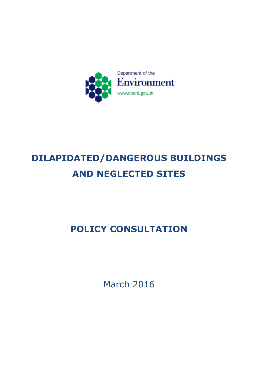

# **DILAPIDATED/DANGEROUS BUILDINGS AND NEGLECTED SITES**

# **POLICY CONSULTATION**

March 2016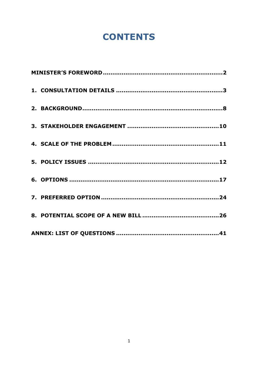# **CONTENTS**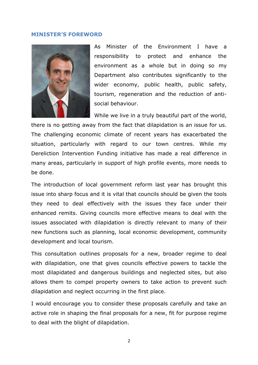#### <span id="page-2-0"></span>**MINISTER'S FOREWORD**



As Minister of the Environment I have a responsibility to protect and enhance the environment as a whole but in doing so my Department also contributes significantly to the wider economy, public health, public safety, tourism, regeneration and the reduction of antisocial behaviour.

While we live in a truly beautiful part of the world, there is no getting away from the fact that dilapidation is an issue for us. The challenging economic climate of recent years has exacerbated the situation, particularly with regard to our town centres. While my Dereliction Intervention Funding initiative has made a real difference in many areas, particularly in support of high profile events, more needs to be done.

The introduction of local government reform last year has brought this issue into sharp focus and it is vital that councils should be given the tools they need to deal effectively with the issues they face under their enhanced remits. Giving councils more effective means to deal with the issues associated with dilapidation is directly relevant to many of their new functions such as planning, local economic development, community development and local tourism.

This consultation outlines proposals for a new, broader regime to deal with dilapidation, one that gives councils effective powers to tackle the most dilapidated and dangerous buildings and neglected sites, but also allows them to compel property owners to take action to prevent such dilapidation and neglect occurring in the first place.

I would encourage you to consider these proposals carefully and take an active role in shaping the final proposals for a new, fit for purpose regime to deal with the blight of dilapidation.

2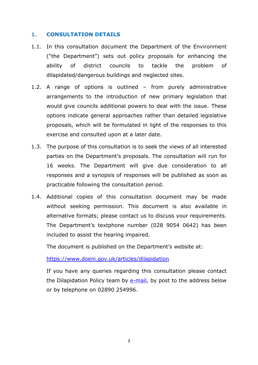#### <span id="page-3-0"></span>**1. CONSULTATION DETAILS**

- 1.1. In this consultation document the Department of the Environment ("the Department") sets out policy proposals for enhancing the ability of district councils to tackle the problem of dilapidated/dangerous buildings and neglected sites.
- 1.2. A range of options is outlined from purely administrative arrangements to the introduction of new primary legislation that would give councils additional powers to deal with the issue. These options indicate general approaches rather than detailed legislative proposals, which will be formulated in light of the responses to this exercise and consulted upon at a later date.
- 1.3. The purpose of this consultation is to seek the views of all interested parties on the Department's proposals. The consultation will run for 16 weeks. The Department will give due consideration to all responses and a synopsis of responses will be published as soon as practicable following the consultation period.
- 1.4. Additional copies of this consultation document may be made without seeking permission. This document is also available in alternative formats; please contact us to discuss your requirements. The Department's textphone number (028 9054 0642) has been included to assist the hearing impaired.

The document is published on the Department's website at:

<https://www.doeni.gov.uk/articles/dilapidation>

If you have any queries regarding this consultation please contact the Dilapidation Policy team by [e-mail,](mailto:dilapidation.law@doeni.gov.uk) by post to the address below or by telephone on 02890 254996.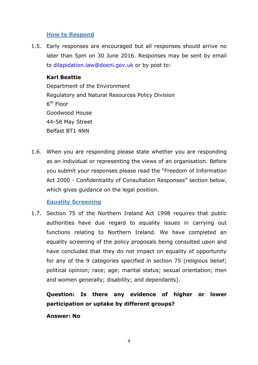#### **How to Respond**

1.5. Early responses are encouraged but all responses should arrive no later than 5pm on 30 June 2016. Responses may be sent by email to dilapidation.law@doeni.gov.uk or by post to:

#### **Karl Beattie**

Department of the Environment Regulatory and Natural Resources Policy Division 6<sup>th</sup> Floor Goodwood House 44-58 May Street Belfast BT1 4NN

1.6. When you are responding please state whether you are responding as an individual or representing the views of an organisation. Before you submit your responses please read the "Freedom of Information Act 2000 - Confidentiality of Consultation Responses" section below, which gives guidance on the legal position.

#### **Equality Screening**

1.7. Section 75 of the Northern Ireland Act 1998 requires that public authorities have due regard to equality issues in carrying out functions relating to Northern Ireland. We have completed an equality screening of the policy proposals being consulted upon and have concluded that they do not impact on equality of opportunity for any of the 9 categories specified in section 75 (religious belief; political opinion; race; age; marital status; sexual orientation; men and women generally; disability; and dependants).

### **Question: Is there any evidence of higher or lower participation or uptake by different groups?**

#### **Answer: No**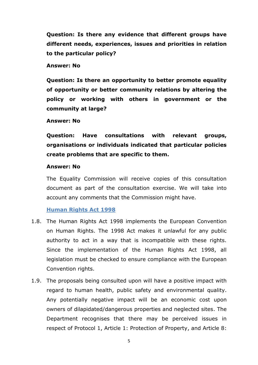**Question: Is there any evidence that different groups have different needs, experiences, issues and priorities in relation to the particular policy?**

#### **Answer: No**

**Question: Is there an opportunity to better promote equality of opportunity or better community relations by altering the policy or working with others in government or the community at large?**

#### **Answer: No**

**Question: Have consultations with relevant groups, organisations or individuals indicated that particular policies create problems that are specific to them.**

#### **Answer: No**

The Equality Commission will receive copies of this consultation document as part of the consultation exercise. We will take into account any comments that the Commission might have.

#### **Human Rights Act 1998**

- 1.8. The Human Rights Act 1998 implements the European Convention on Human Rights. The 1998 Act makes it unlawful for any public authority to act in a way that is incompatible with these rights. Since the implementation of the Human Rights Act 1998, all legislation must be checked to ensure compliance with the European Convention rights.
- 1.9. The proposals being consulted upon will have a positive impact with regard to human health, public safety and environmental quality. Any potentially negative impact will be an economic cost upon owners of dilapidated/dangerous properties and neglected sites. The Department recognises that there may be perceived issues in respect of Protocol 1, Article 1: Protection of Property, and Article 8: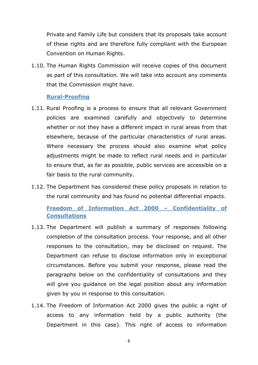Private and Family Life but considers that its proposals take account of these rights and are therefore fully compliant with the European Convention on Human Rights.

1.10. The Human Rights Commission will receive copies of this document as part of this consultation. We will take into account any comments that the Commission might have.

#### **Rural-Proofing**

- 1.11. Rural Proofing is a process to ensure that all relevant Government policies are examined carefully and objectively to determine whether or not they have a different impact in rural areas from that elsewhere, because of the particular characteristics of rural areas. Where necessary the process should also examine what policy adjustments might be made to reflect rural needs and in particular to ensure that, as far as possible, public services are accessible on a fair basis to the rural community.
- 1.12. The Department has considered these policy proposals in relation to the rural community and has found no potential differential impacts.

**Freedom of Information Act 2000 – Confidentiality of Consultations**

- 1.13. The Department will publish a summary of responses following completion of the consultation process. Your response, and all other responses to the consultation, may be disclosed on request. The Department can refuse to disclose information only in exceptional circumstances. Before you submit your response, please read the paragraphs below on the confidentiality of consultations and they will give you guidance on the legal position about any information given by you in response to this consultation.
- 1.14. The Freedom of Information Act 2000 gives the public a right of access to any information held by a public authority (the Department in this case). This right of access to information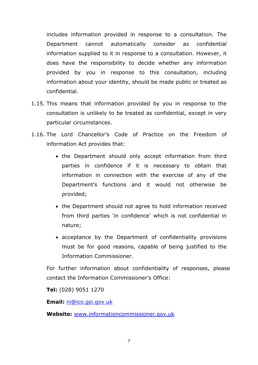includes information provided in response to a consultation. The Department cannot automatically consider as confidential information supplied to it in response to a consultation. However, it does have the responsibility to decide whether any information provided by you in response to this consultation, including information about your identity, should be made public or treated as confidential.

- 1.15. This means that information provided by you in response to the consultation is unlikely to be treated as confidential, except in very particular circumstances.
- 1.16. The Lord Chancellor's Code of Practice on the Freedom of information Act provides that:
	- the Department should only accept information from third parties in confidence if it is necessary to obtain that information in connection with the exercise of any of the Department's functions and it would not otherwise be provided;
	- the Department should not agree to hold information received from third parties 'in confidence' which is not confidential in nature;
	- acceptance by the Department of confidentiality provisions must be for good reasons, capable of being justified to the Information Commissioner.

For further information about confidentiality of responses, please contact the Information Commissioner's Office:

**Tel:** (028) 9051 1270

**Email:** [ni@ico.gsi.gov.uk](mailto:ni@ico.gsi.gov.uk) 

**Website:** [www.informationcommissioner.gov.uk](http://www.informationcommissioner.gov.uk/)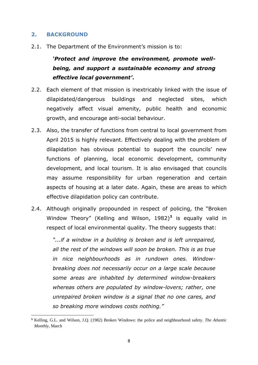#### <span id="page-8-0"></span>**2. BACKGROUND**

2.1. The Department of the Environment's mission is to:

## *'Protect and improve the environment, promote wellbeing, and support a sustainable economy and strong effective local government'***.**

- 2.2. Each element of that mission is inextricably linked with the issue of dilapidated/dangerous buildings and neglected sites, which negatively affect visual amenity, public health and economic growth, and encourage anti-social behaviour.
- 2.3. Also, the transfer of functions from central to local government from April 2015 is highly relevant. Effectively dealing with the problem of dilapidation has obvious potential to support the councils' new functions of planning, local economic development, community development, and local tourism. It is also envisaged that councils may assume responsibility for urban regeneration and certain aspects of housing at a later date. Again, these are areas to which effective dilapidation policy can contribute.
- 2.4. Although originally propounded in respect of policing, the "Broken Window Theory" (Kelling and Wilson, 1982)**<sup>1</sup>** is equally valid in respect of local environmental quality. The theory suggests that:

*"...if a window in a building is broken and is left unrepaired, all the rest of the windows will soon be broken. This is as true in nice neighbourhoods as in rundown ones. Windowbreaking does not necessarily occur on a large scale because some areas are inhabited by determined window-breakers whereas others are populated by window-lovers; rather, one unrepaired broken window is a signal that no one cares, and so breaking more windows costs nothing."*

<sup>1</sup> **<sup>1</sup>** [Kelling,](http://www.theatlantic.com/george-l-kelling/) G.L. and [Wilson,](http://www.theatlantic.com/james-q-wilson/) J.Q. (1982) Broken Windows: the police and neighbourhood safety. *The Atlantic Monthly*, March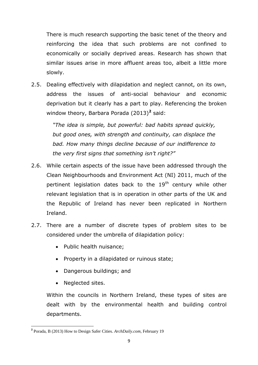There is much research supporting the basic tenet of the theory and reinforcing the idea that such problems are not confined to economically or socially deprived areas. Research has shown that similar issues arise in more affluent areas too, albeit a little more slowly.

2.5. Dealing effectively with dilapidation and neglect cannot, on its own, address the issues of anti-social behaviour and economic deprivation but it clearly has a part to play. Referencing the broken window theory, Barbara Porada (2013)**<sup>2</sup>** said:

> *"The idea is simple, but powerful: bad habits spread quickly, but good ones, with strength and continuity, can displace the bad. How many things decline because of our indifference to the very first signs that something isn't right?"*

- 2.6. While certain aspects of the issue have been addressed through the Clean Neighbourhoods and Environment Act (NI) 2011, much of the pertinent legislation dates back to the 19<sup>th</sup> century while other relevant legislation that is in operation in other parts of the UK and the Republic of Ireland has never been replicated in Northern Ireland.
- 2.7. There are a number of discrete types of problem sites to be considered under the umbrella of dilapidation policy:
	- Public health nuisance;
	- Property in a dilapidated or ruinous state;
	- Dangerous buildings; and
	- Neglected sites.

Within the councils in Northern Ireland, these types of sites are dealt with by the environmental health and building control departments.

**<sup>.</sup> 2** Porada, B (2013) How to Design Safer Cities. *ArchDaily.com*, February 19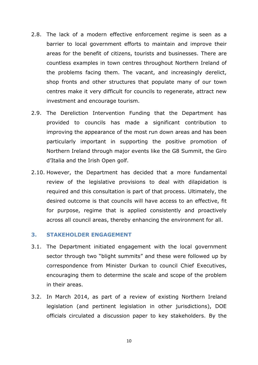- 2.8. The lack of a modern effective enforcement regime is seen as a barrier to local government efforts to maintain and improve their areas for the benefit of citizens, tourists and businesses. There are countless examples in town centres throughout Northern Ireland of the problems facing them. The vacant, and increasingly derelict, shop fronts and other structures that populate many of our town centres make it very difficult for councils to regenerate, attract new investment and encourage tourism.
- 2.9. The Dereliction Intervention Funding that the Department has provided to councils has made a significant contribution to improving the appearance of the most run down areas and has been particularly important in supporting the positive promotion of Northern Ireland through major events like the G8 Summit, the Giro d'Italia and the Irish Open golf.
- 2.10. However, the Department has decided that a more fundamental review of the legislative provisions to deal with dilapidation is required and this consultation is part of that process. Ultimately, the desired outcome is that councils will have access to an effective, fit for purpose, regime that is applied consistently and proactively across all council areas, thereby enhancing the environment for all.

#### <span id="page-10-0"></span>**3. STAKEHOLDER ENGAGEMENT**

- 3.1. The Department initiated engagement with the local government sector through two "blight summits" and these were followed up by correspondence from Minister Durkan to council Chief Executives, encouraging them to determine the scale and scope of the problem in their areas.
- 3.2. In March 2014, as part of a review of existing Northern Ireland legislation (and pertinent legislation in other jurisdictions), DOE officials circulated a discussion paper to key stakeholders. By the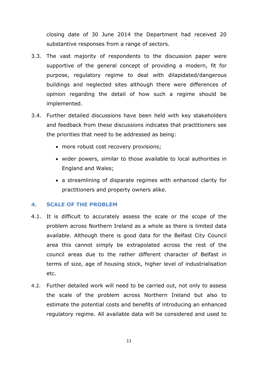closing date of 30 June 2014 the Department had received 20 substantive responses from a range of sectors.

- 3.3. The vast majority of respondents to the discussion paper were supportive of the general concept of providing a modern, fit for purpose, regulatory regime to deal with dilapidated/dangerous buildings and neglected sites although there were differences of opinion regarding the detail of how such a regime should be implemented.
- 3.4. Further detailed discussions have been held with key stakeholders and feedback from these discussions indicates that practitioners see the priorities that need to be addressed as being:
	- more robust cost recovery provisions;
	- wider powers, similar to those available to local authorities in England and Wales;
	- a streamlining of disparate regimes with enhanced clarity for practitioners and property owners alike.

#### <span id="page-11-0"></span>**4. SCALE OF THE PROBLEM**

- 4.1. It is difficult to accurately assess the scale or the scope of the problem across Northern Ireland as a whole as there is limited data available. Although there is good data for the Belfast City Council area this cannot simply be extrapolated across the rest of the council areas due to the rather different character of Belfast in terms of size, age of housing stock, higher level of industrialisation etc.
- 4.2. Further detailed work will need to be carried out, not only to assess the scale of the problem across Northern Ireland but also to estimate the potential costs and benefits of introducing an enhanced regulatory regime. All available data will be considered and used to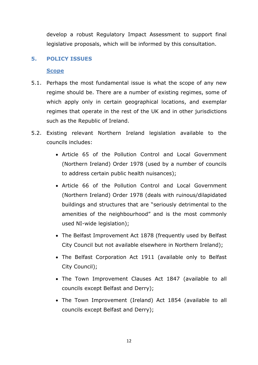develop a robust Regulatory Impact Assessment to support final legislative proposals, which will be informed by this consultation.

#### <span id="page-12-0"></span>**5. POLICY ISSUES**

#### **Scope**

- 5.1. Perhaps the most fundamental issue is what the scope of any new regime should be. There are a number of existing regimes, some of which apply only in certain geographical locations, and exemplar regimes that operate in the rest of the UK and in other jurisdictions such as the Republic of Ireland.
- 5.2. Existing relevant Northern Ireland legislation available to the councils includes:
	- Article 65 of the Pollution Control and Local Government (Northern Ireland) Order 1978 (used by a number of councils to address certain public health nuisances);
	- Article 66 of the Pollution Control and Local Government (Northern Ireland) Order 1978 (deals with ruinous/dilapidated buildings and structures that are "seriously detrimental to the amenities of the neighbourhood" and is the most commonly used NI-wide legislation);
	- The Belfast Improvement Act 1878 (frequently used by Belfast City Council but not available elsewhere in Northern Ireland);
	- The Belfast Corporation Act 1911 (available only to Belfast City Council);
	- The Town Improvement Clauses Act 1847 (available to all councils except Belfast and Derry);
	- The Town Improvement (Ireland) Act 1854 (available to all councils except Belfast and Derry);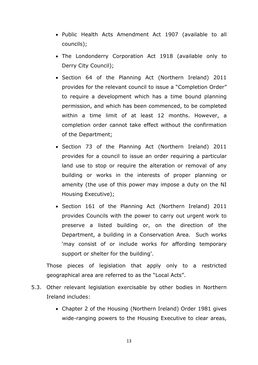- Public Health Acts Amendment Act 1907 (available to all councils);
- The Londonderry Corporation Act 1918 (available only to Derry City Council);
- Section 64 of the Planning Act (Northern Ireland) 2011 provides for the relevant council to issue a "Completion Order" to require a development which has a time bound planning permission, and which has been commenced, to be completed within a time limit of at least 12 months. However, a completion order cannot take effect without the confirmation of the Department;
- Section 73 of the Planning Act (Northern Ireland) 2011 provides for a council to issue an order requiring a particular land use to stop or require the alteration or removal of any building or works in the interests of proper planning or amenity (the use of this power may impose a duty on the NI Housing Executive);
- Section 161 of the Planning Act (Northern Ireland) 2011 provides Councils with the power to carry out urgent work to preserve a listed building or, on the direction of the Department, a building in a Conservation Area. Such works 'may consist of or include works for affording temporary support or shelter for the building'.

Those pieces of legislation that apply only to a restricted geographical area are referred to as the "Local Acts".

- 5.3. Other relevant legislation exercisable by other bodies in Northern Ireland includes:
	- Chapter 2 of the Housing (Northern Ireland) Order 1981 gives wide-ranging powers to the Housing Executive to clear areas,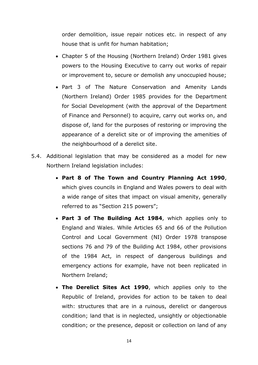order demolition, issue repair notices etc. in respect of any house that is unfit for human habitation;

- Chapter 5 of the Housing (Northern Ireland) Order 1981 gives powers to the Housing Executive to carry out works of repair or improvement to, secure or demolish any unoccupied house;
- Part 3 of The Nature Conservation and Amenity Lands (Northern Ireland) Order 1985 provides for the Department for Social Development (with the approval of the Department of Finance and Personnel) to acquire, carry out works on, and dispose of, land for the purposes of restoring or improving the appearance of a derelict site or of improving the amenities of the neighbourhood of a derelict site.
- 5.4. Additional legislation that may be considered as a model for new Northern Ireland legislation includes:
	- **Part 8 of The Town and Country Planning Act 1990**, which gives councils in England and Wales powers to deal with a wide range of sites that impact on visual amenity, generally referred to as "Section 215 powers";
	- **Part 3 of The Building Act 1984**, which applies only to England and Wales. While Articles 65 and 66 of the Pollution Control and Local Government (NI) Order 1978 transpose sections 76 and 79 of the Building Act 1984, other provisions of the 1984 Act, in respect of dangerous buildings and emergency actions for example, have not been replicated in Northern Ireland;
	- **The Derelict Sites Act 1990**, which applies only to the Republic of Ireland, provides for action to be taken to deal with: structures that are in a ruinous, derelict or dangerous condition; land that is in neglected, unsightly or objectionable condition; or the presence, deposit or collection on land of any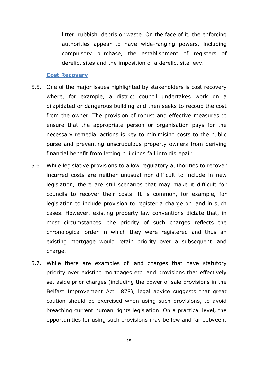litter, rubbish, debris or waste. On the face of it, the enforcing authorities appear to have wide-ranging powers, including compulsory purchase, the establishment of registers of derelict sites and the imposition of a derelict site levy.

#### **Cost Recovery**

- 5.5. One of the major issues highlighted by stakeholders is cost recovery where, for example, a district council undertakes work on a dilapidated or dangerous building and then seeks to recoup the cost from the owner. The provision of robust and effective measures to ensure that the appropriate person or organisation pays for the necessary remedial actions is key to minimising costs to the public purse and preventing unscrupulous property owners from deriving financial benefit from letting buildings fall into disrepair.
- 5.6. While legislative provisions to allow regulatory authorities to recover incurred costs are neither unusual nor difficult to include in new legislation, there are still scenarios that may make it difficult for councils to recover their costs. It is common, for example, for legislation to include provision to register a charge on land in such cases. However, existing property law conventions dictate that, in most circumstances, the priority of such charges reflects the chronological order in which they were registered and thus an existing mortgage would retain priority over a subsequent land charge.
- 5.7. While there are examples of land charges that have statutory priority over existing mortgages etc. and provisions that effectively set aside prior charges (including the power of sale provisions in the Belfast Improvement Act 1878), legal advice suggests that great caution should be exercised when using such provisions, to avoid breaching current human rights legislation. On a practical level, the opportunities for using such provisions may be few and far between.

15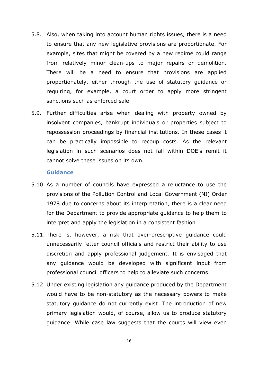- 5.8. Also, when taking into account human rights issues, there is a need to ensure that any new legislative provisions are proportionate. For example, sites that might be covered by a new regime could range from relatively minor clean-ups to major repairs or demolition. There will be a need to ensure that provisions are applied proportionately, either through the use of statutory guidance or requiring, for example, a court order to apply more stringent sanctions such as enforced sale.
- 5.9. Further difficulties arise when dealing with property owned by insolvent companies, bankrupt individuals or properties subject to repossession proceedings by financial institutions. In these cases it can be practically impossible to recoup costs. As the relevant legislation in such scenarios does not fall within DOE's remit it cannot solve these issues on its own.

#### **Guidance**

- 5.10. As a number of councils have expressed a reluctance to use the provisions of the Pollution Control and Local Government (NI) Order 1978 due to concerns about its interpretation, there is a clear need for the Department to provide appropriate guidance to help them to interpret and apply the legislation in a consistent fashion.
- 5.11. There is, however, a risk that over-prescriptive guidance could unnecessarily fetter council officials and restrict their ability to use discretion and apply professional judgement. It is envisaged that any guidance would be developed with significant input from professional council officers to help to alleviate such concerns.
- 5.12. Under existing legislation any guidance produced by the Department would have to be non-statutory as the necessary powers to make statutory guidance do not currently exist. The introduction of new primary legislation would, of course, allow us to produce statutory guidance. While case law suggests that the courts will view even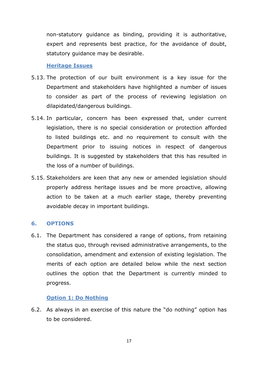non-statutory guidance as binding, providing it is authoritative, expert and represents best practice, for the avoidance of doubt, statutory guidance may be desirable.

#### **Heritage Issues**

- 5.13. The protection of our built environment is a key issue for the Department and stakeholders have highlighted a number of issues to consider as part of the process of reviewing legislation on dilapidated/dangerous buildings.
- 5.14. In particular, concern has been expressed that, under current legislation, there is no special consideration or protection afforded to listed buildings etc. and no requirement to consult with the Department prior to issuing notices in respect of dangerous buildings. It is suggested by stakeholders that this has resulted in the loss of a number of buildings.
- 5.15. Stakeholders are keen that any new or amended legislation should properly address heritage issues and be more proactive, allowing action to be taken at a much earlier stage, thereby preventing avoidable decay in important buildings.

#### <span id="page-17-0"></span>**6. OPTIONS**

6.1. The Department has considered a range of options, from retaining the status quo, through revised administrative arrangements, to the consolidation, amendment and extension of existing legislation. The merits of each option are detailed below while the next section outlines the option that the Department is currently minded to progress.

#### **Option 1: Do Nothing**

6.2. As always in an exercise of this nature the "do nothing" option has to be considered.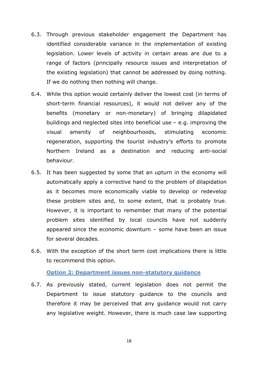- 6.3. Through previous stakeholder engagement the Department has identified considerable variance in the implementation of existing legislation. Lower levels of activity in certain areas are due to a range of factors (principally resource issues and interpretation of the existing legislation) that cannot be addressed by doing nothing. If we do nothing then nothing will change.
- 6.4. While this option would certainly deliver the lowest cost (in terms of short-term financial resources), it would not deliver any of the benefits (monetary or non-monetary) of bringing dilapidated buildings and neglected sites into beneficial use – e.g. improving the visual amenity of neighbourhoods, stimulating economic regeneration, supporting the tourist industry's efforts to promote Northern Ireland as a destination and reducing anti-social behaviour.
- 6.5. It has been suggested by some that an upturn in the economy will automatically apply a corrective hand to the problem of dilapidation as it becomes more economically viable to develop or redevelop these problem sites and, to some extent, that is probably true. However, it is important to remember that many of the potential problem sites identified by local councils have not suddenly appeared since the economic downturn – some have been an issue for several decades.
- 6.6. With the exception of the short term cost implications there is little to recommend this option.

**Option 2: Department issues non-statutory guidance**

6.7. As previously stated, current legislation does not permit the Department to issue statutory guidance to the councils and therefore it may be perceived that any guidance would not carry any legislative weight. However, there is much case law supporting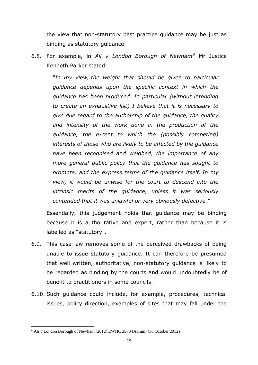the view that non-statutory best practice guidance may be just as binding as statutory guidance.

6.8. For example, in *Ali v London Borough of Newham***<sup>3</sup>** Mr Justice Kenneth Parker stated:

> "*In my view, the weight that should be given to particular guidance depends upon the specific context in which the guidance has been produced. In particular (without intending to create an exhaustive list) I believe that it is necessary to give due regard to the authorship of the guidance, the quality and intensity of the work done in the production of the guidance, the extent to which the (possibly competing) interests of those who are likely to be affected by the guidance have been recognised and weighed, the importance of any more general public policy that the guidance has sought to promote, and the express terms of the guidance itself. In my view, it would be unwise for the court to descend into the intrinsic merits of the guidance, unless it was seriously contended that it was unlawful or very obviously defective."*

Essentially, this judgement holds that guidance may be binding because it is authoritative and expert, rather than because it is labelled as "statutory".

- 6.9. This case law removes some of the perceived drawbacks of being unable to issue statutory guidance. It can therefore be presumed that well written, authoritative, non-statutory guidance is likely to be regarded as binding by the courts and would undoubtedly be of benefit to practitioners in some councils.
- 6.10. Such guidance could include, for example, procedures, technical issues, policy direction, examples of sites that may fall under the

**<sup>.</sup> <sup>3</sup>** [Ali v London Borough of Newham \[2012\] EWHC 2970 \(Admin\) \(30 October 2012\)](http://www.bailii.org/ew/cases/EWHC/Admin/2012/2970.html)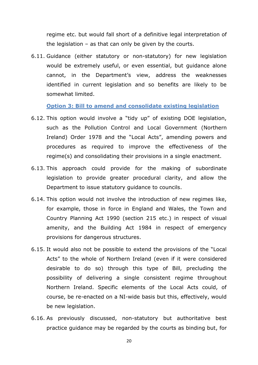regime etc. but would fall short of a definitive legal interpretation of the legislation – as that can only be given by the courts.

6.11. Guidance (either statutory or non-statutory) for new legislation would be extremely useful, or even essential, but guidance alone cannot, in the Department's view, address the weaknesses identified in current legislation and so benefits are likely to be somewhat limited.

**Option 3: Bill to amend and consolidate existing legislation**

- 6.12. This option would involve a "tidy up" of existing DOE legislation, such as the Pollution Control and Local Government (Northern Ireland) Order 1978 and the "Local Acts", amending powers and procedures as required to improve the effectiveness of the regime(s) and consolidating their provisions in a single enactment.
- 6.13. This approach could provide for the making of subordinate legislation to provide greater procedural clarity, and allow the Department to issue statutory guidance to councils.
- 6.14. This option would not involve the introduction of new regimes like, for example, those in force in England and Wales, the Town and Country Planning Act 1990 (section 215 etc.) in respect of visual amenity, and the Building Act 1984 in respect of emergency provisions for dangerous structures.
- 6.15. It would also not be possible to extend the provisions of the "Local Acts" to the whole of Northern Ireland (even if it were considered desirable to do so) through this type of Bill, precluding the possibility of delivering a single consistent regime throughout Northern Ireland. Specific elements of the Local Acts could, of course, be re-enacted on a NI-wide basis but this, effectively, would be new legislation.
- 6.16. As previously discussed, non-statutory but authoritative best practice guidance may be regarded by the courts as binding but, for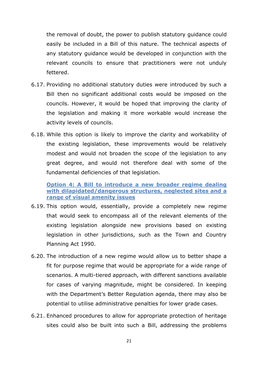the removal of doubt, the power to publish statutory guidance could easily be included in a Bill of this nature. The technical aspects of any statutory guidance would be developed in conjunction with the relevant councils to ensure that practitioners were not unduly fettered.

- 6.17. Providing no additional statutory duties were introduced by such a Bill then no significant additional costs would be imposed on the councils. However, it would be hoped that improving the clarity of the legislation and making it more workable would increase the activity levels of councils.
- 6.18. While this option is likely to improve the clarity and workability of the existing legislation, these improvements would be relatively modest and would not broaden the scope of the legislation to any great degree, and would not therefore deal with some of the fundamental deficiencies of that legislation.

**Option 4: A Bill to introduce a new broader regime dealing with dilapidated/dangerous structures, neglected sites and a range of visual amenity issues**

- 6.19. This option would, essentially, provide a completely new regime that would seek to encompass all of the relevant elements of the existing legislation alongside new provisions based on existing legislation in other jurisdictions, such as the Town and Country Planning Act 1990.
- 6.20. The introduction of a new regime would allow us to better shape a fit for purpose regime that would be appropriate for a wide range of scenarios. A multi-tiered approach, with different sanctions available for cases of varying magnitude, might be considered. In keeping with the Department's Better Regulation agenda, there may also be potential to utilise administrative penalties for lower grade cases.
- 6.21. Enhanced procedures to allow for appropriate protection of heritage sites could also be built into such a Bill, addressing the problems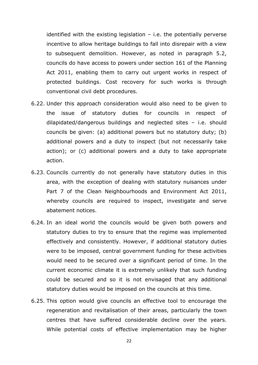identified with the existing legislation – i.e. the potentially perverse incentive to allow heritage buildings to fall into disrepair with a view to subsequent demolition. However, as noted in paragraph 5.2, councils do have access to powers under section 161 of the Planning Act 2011, enabling them to carry out urgent works in respect of protected buildings. Cost recovery for such works is through conventional civil debt procedures.

- 6.22. Under this approach consideration would also need to be given to the issue of statutory duties for councils in respect of dilapidated/dangerous buildings and neglected sites – i.e. should councils be given: (a) additional powers but no statutory duty; (b) additional powers and a duty to inspect (but not necessarily take action); or (c) additional powers and a duty to take appropriate action.
- 6.23. Councils currently do not generally have statutory duties in this area, with the exception of dealing with statutory nuisances under Part 7 of the Clean Neighbourhoods and Environment Act 2011, whereby councils are required to inspect, investigate and serve abatement notices.
- 6.24. In an ideal world the councils would be given both powers and statutory duties to try to ensure that the regime was implemented effectively and consistently. However, if additional statutory duties were to be imposed, central government funding for these activities would need to be secured over a significant period of time. In the current economic climate it is extremely unlikely that such funding could be secured and so it is not envisaged that any additional statutory duties would be imposed on the councils at this time.
- 6.25. This option would give councils an effective tool to encourage the regeneration and revitalisation of their areas, particularly the town centres that have suffered considerable decline over the years. While potential costs of effective implementation may be higher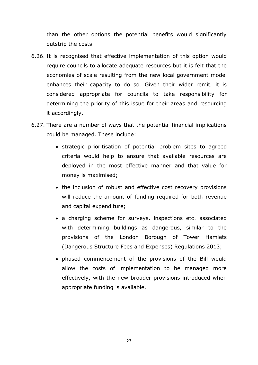than the other options the potential benefits would significantly outstrip the costs.

- 6.26. It is recognised that effective implementation of this option would require councils to allocate adequate resources but it is felt that the economies of scale resulting from the new local government model enhances their capacity to do so. Given their wider remit, it is considered appropriate for councils to take responsibility for determining the priority of this issue for their areas and resourcing it accordingly.
- <span id="page-23-0"></span>6.27. There are a number of ways that the potential financial implications could be managed. These include:
	- strategic prioritisation of potential problem sites to agreed criteria would help to ensure that available resources are deployed in the most effective manner and that value for money is maximised;
	- the inclusion of robust and effective cost recovery provisions will reduce the amount of funding required for both revenue and capital expenditure;
	- a charging scheme for surveys, inspections etc. associated with determining buildings as dangerous, similar to the provisions of the London Borough of Tower Hamlets (Dangerous Structure Fees and Expenses) Regulations 2013;
	- phased commencement of the provisions of the Bill would allow the costs of implementation to be managed more effectively, with the new broader provisions introduced when appropriate funding is available.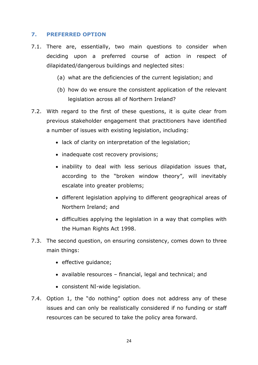#### **7. PREFERRED OPTION**

- 7.1. There are, essentially, two main questions to consider when deciding upon a preferred course of action in respect of dilapidated/dangerous buildings and neglected sites:
	- (a) what are the deficiencies of the current legislation; and
	- (b) how do we ensure the consistent application of the relevant legislation across all of Northern Ireland?
- 7.2. With regard to the first of these questions, it is quite clear from previous stakeholder engagement that practitioners have identified a number of issues with existing legislation, including:
	- lack of clarity on interpretation of the legislation;
	- inadequate cost recovery provisions;
	- inability to deal with less serious dilapidation issues that, according to the "broken window theory", will inevitably escalate into greater problems;
	- different legislation applying to different geographical areas of Northern Ireland; and
	- difficulties applying the legislation in a way that complies with the Human Rights Act 1998.
- 7.3. The second question, on ensuring consistency, comes down to three main things:
	- effective quidance;
	- available resources financial, legal and technical; and
	- consistent NI-wide legislation.
- 7.4. Option 1, the "do nothing" option does not address any of these issues and can only be realistically considered if no funding or staff resources can be secured to take the policy area forward.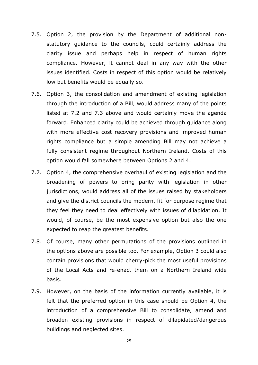- 7.5. Option 2, the provision by the Department of additional nonstatutory guidance to the councils, could certainly address the clarity issue and perhaps help in respect of human rights compliance. However, it cannot deal in any way with the other issues identified. Costs in respect of this option would be relatively low but benefits would be equally so.
- 7.6. Option 3, the consolidation and amendment of existing legislation through the introduction of a Bill, would address many of the points listed at 7.2 and 7.3 above and would certainly move the agenda forward. Enhanced clarity could be achieved through guidance along with more effective cost recovery provisions and improved human rights compliance but a simple amending Bill may not achieve a fully consistent regime throughout Northern Ireland. Costs of this option would fall somewhere between Options 2 and 4.
- 7.7. Option 4, the comprehensive overhaul of existing legislation and the broadening of powers to bring parity with legislation in other jurisdictions, would address all of the issues raised by stakeholders and give the district councils the modern, fit for purpose regime that they feel they need to deal effectively with issues of dilapidation. It would, of course, be the most expensive option but also the one expected to reap the greatest benefits.
- 7.8. Of course, many other permutations of the provisions outlined in the options above are possible too. For example, Option 3 could also contain provisions that would cherry-pick the most useful provisions of the Local Acts and re-enact them on a Northern Ireland wide basis.
- 7.9. However, on the basis of the information currently available, it is felt that the preferred option in this case should be Option 4, the introduction of a comprehensive Bill to consolidate, amend and broaden existing provisions in respect of dilapidated/dangerous buildings and neglected sites.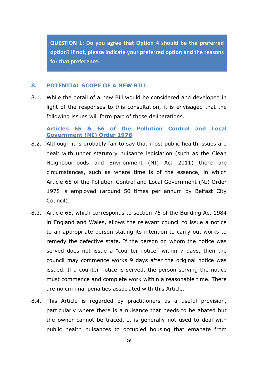**QUESTION 1: Do you agree that Option 4 should be the preferred option? If not, please indicate your preferred option and the reasons for that preference.**

#### <span id="page-26-0"></span>**8. POTENTIAL SCOPE OF A NEW BILL**

8.1. While the detail of a new Bill would be considered and developed in light of the responses to this consultation, it is envisaged that the following issues will form part of those deliberations.

**Articles 65 & 66 of the Pollution Control and Local Government (NI) Order 1978**

- 8.2. Although it is probably fair to say that most public health issues are dealt with under statutory nuisance legislation (such as the Clean Neighbourhoods and Environment (NI) Act 2011) there are circumstances, such as where time is of the essence, in which Article 65 of the Pollution Control and Local Government (NI) Order 1978 is employed (around 50 times per annum by Belfast City Council).
- 8.3. Article 65, which corresponds to section 76 of the Building Act 1984 in England and Wales, allows the relevant council to issue a notice to an appropriate person stating its intention to carry out works to remedy the defective state. If the person on whom the notice was served does not issue a "counter-notice" within 7 days, then the council may commence works 9 days after the original notice was issued. If a counter-notice is served, the person serving the notice must commence and complete work within a reasonable time. There are no criminal penalties associated with this Article.
- 8.4. This Article is regarded by practitioners as a useful provision, particularly where there is a nuisance that needs to be abated but the owner cannot be traced. It is generally not used to deal with public health nuisances to occupied housing that emanate from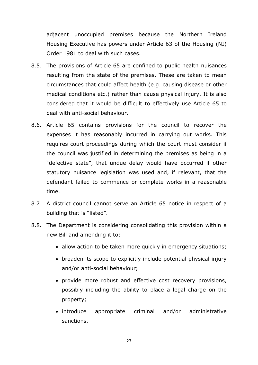adjacent unoccupied premises because the Northern Ireland Housing Executive has powers under Article 63 of the Housing (NI) Order 1981 to deal with such cases.

- 8.5. The provisions of Article 65 are confined to public health nuisances resulting from the state of the premises. These are taken to mean circumstances that could affect health (e.g. causing disease or other medical conditions etc.) rather than cause physical injury. It is also considered that it would be difficult to effectively use Article 65 to deal with anti-social behaviour.
- 8.6. Article 65 contains provisions for the council to recover the expenses it has reasonably incurred in carrying out works. This requires court proceedings during which the court must consider if the council was justified in determining the premises as being in a "defective state", that undue delay would have occurred if other statutory nuisance legislation was used and, if relevant, that the defendant failed to commence or complete works in a reasonable time.
- 8.7. A district council cannot serve an Article 65 notice in respect of a building that is "listed".
- 8.8. The Department is considering consolidating this provision within a new Bill and amending it to:
	- allow action to be taken more quickly in emergency situations;
	- broaden its scope to explicitly include potential physical injury and/or anti-social behaviour;
	- provide more robust and effective cost recovery provisions, possibly including the ability to place a legal charge on the property;
	- introduce appropriate criminal and/or administrative sanctions.

27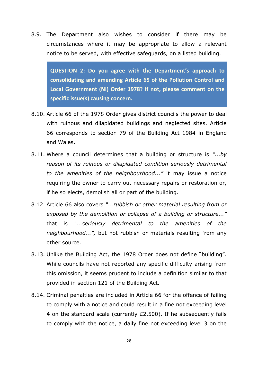8.9. The Department also wishes to consider if there may be circumstances where it may be appropriate to allow a relevant notice to be served, with effective safeguards, on a listed building.

**QUESTION 2: Do you agree with the Department's approach to consolidating and amending Article 65 of the Pollution Control and Local Government (NI) Order 1978? If not, please comment on the specific issue(s) causing concern.**

- 8.10. Article 66 of the 1978 Order gives district councils the power to deal with ruinous and dilapidated buildings and neglected sites. Article 66 corresponds to section 79 of the Building Act 1984 in England and Wales.
- 8.11. Where a council determines that a building or structure is *"...by reason of its ruinous or dilapidated condition seriously detrimental to the amenities of the neighbourhood..."* it may issue a notice requiring the owner to carry out necessary repairs or restoration or, if he so elects, demolish all or part of the building.
- 8.12. Article 66 also covers *"...rubbish or other material resulting from or exposed by the demolition or collapse of a building or structure..."* that is *"...seriously detrimental to the amenities of the neighbourhood...",* but not rubbish or materials resulting from any other source.
- 8.13. Unlike the Building Act, the 1978 Order does not define "building". While councils have not reported any specific difficulty arising from this omission, it seems prudent to include a definition similar to that provided in section 121 of the Building Act.
- 8.14. Criminal penalties are included in Article 66 for the offence of failing to comply with a notice and could result in a fine not exceeding level 4 on the standard scale (currently £2,500). If he subsequently fails to comply with the notice, a daily fine not exceeding level 3 on the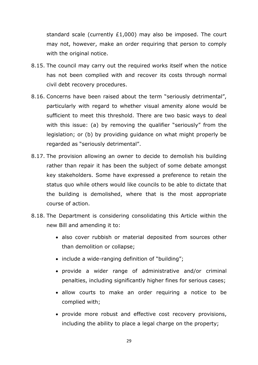standard scale (currently £1,000) may also be imposed. The court may not, however, make an order requiring that person to comply with the original notice.

- 8.15. The council may carry out the required works itself when the notice has not been complied with and recover its costs through normal civil debt recovery procedures.
- 8.16. Concerns have been raised about the term "seriously detrimental", particularly with regard to whether visual amenity alone would be sufficient to meet this threshold. There are two basic ways to deal with this issue: (a) by removing the qualifier "seriously" from the legislation; or (b) by providing guidance on what might properly be regarded as "seriously detrimental".
- 8.17. The provision allowing an owner to decide to demolish his building rather than repair it has been the subject of some debate amongst key stakeholders. Some have expressed a preference to retain the status quo while others would like councils to be able to dictate that the building is demolished, where that is the most appropriate course of action.
- 8.18. The Department is considering consolidating this Article within the new Bill and amending it to:
	- also cover rubbish or material deposited from sources other than demolition or collapse;
	- include a wide-ranging definition of "building";
	- provide a wider range of administrative and/or criminal penalties, including significantly higher fines for serious cases;
	- allow courts to make an order requiring a notice to be complied with;
	- provide more robust and effective cost recovery provisions, including the ability to place a legal charge on the property;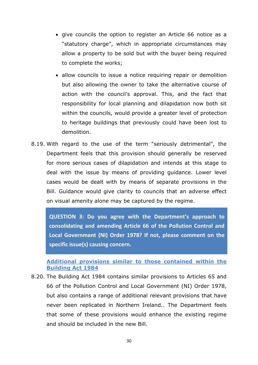- give councils the option to register an Article 66 notice as a "statutory charge", which in appropriate circumstances may allow a property to be sold but with the buyer being required to complete the works;
- allow councils to issue a notice requiring repair or demolition but also allowing the owner to take the alternative course of action with the council's approval. This, and the fact that responsibility for local planning and dilapidation now both sit within the councils, would provide a greater level of protection to heritage buildings that previously could have been lost to demolition.
- 8.19. With regard to the use of the term "seriously detrimental", the Department feels that this provision should generally be reserved for more serious cases of dilapidation and intends at this stage to deal with the issue by means of providing guidance. Lower level cases would be dealt with by means of separate provisions in the Bill. Guidance would give clarity to councils that an adverse effect on visual amenity alone may be captured by the regime.

**QUESTION 3: Do you agree with the Department's approach to consolidating and amending Article 66 of the Pollution Control and Local Government (NI) Order 1978? If not, please comment on the specific issue(s) causing concern.**

**Additional provisions similar to those contained within the Building Act 1984**

8.20. The Building Act 1984 contains similar provisions to Articles 65 and 66 of the Pollution Control and Local Government (NI) Order 1978, but also contains a range of additional relevant provisions that have never been replicated in Northern Ireland.. The Department feels that some of these provisions would enhance the existing regime and should be included in the new Bill.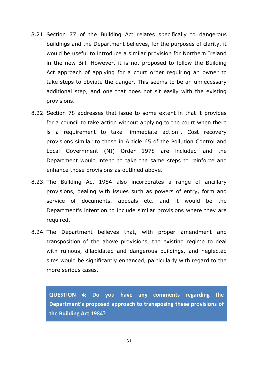- 8.21. Section 77 of the Building Act relates specifically to dangerous buildings and the Department believes, for the purposes of clarity, it would be useful to introduce a similar provision for Northern Ireland in the new Bill. However, it is not proposed to follow the Building Act approach of applying for a court order requiring an owner to take steps to obviate the danger. This seems to be an unnecessary additional step, and one that does not sit easily with the existing provisions.
- 8.22. Section 78 addresses that issue to some extent in that it provides for a council to take action without applying to the court when there is a requirement to take "immediate action". Cost recovery provisions similar to those in Article 65 of the Pollution Control and Local Government (NI) Order 1978 are included and the Department would intend to take the same steps to reinforce and enhance those provisions as outlined above.
- 8.23. The Building Act 1984 also incorporates a range of ancillary provisions, dealing with issues such as powers of entry, form and service of documents, appeals etc. and it would be the Department's intention to include similar provisions where they are required.
- 8.24. The Department believes that, with proper amendment and transposition of the above provisions, the existing regime to deal with ruinous, dilapidated and dangerous buildings, and neglected sites would be significantly enhanced, particularly with regard to the more serious cases.

**QUESTION 4: Do you have any comments regarding the Department's proposed approach to transposing these provisions of the Building Act 1984?**

31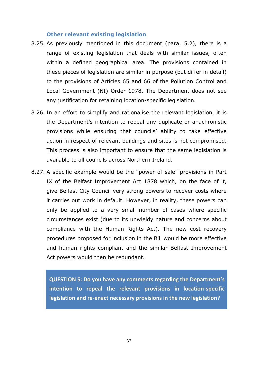#### **Other relevant existing legislation**

- 8.25. As previously mentioned in this document (para. 5.2), there is a range of existing legislation that deals with similar issues, often within a defined geographical area. The provisions contained in these pieces of legislation are similar in purpose (but differ in detail) to the provisions of Articles 65 and 66 of the Pollution Control and Local Government (NI) Order 1978. The Department does not see any justification for retaining location-specific legislation.
- 8.26. In an effort to simplify and rationalise the relevant legislation, it is the Department's intention to repeal any duplicate or anachronistic provisions while ensuring that councils' ability to take effective action in respect of relevant buildings and sites is not compromised. This process is also important to ensure that the same legislation is available to all councils across Northern Ireland.
- 8.27. A specific example would be the "power of sale" provisions in Part IX of the Belfast Improvement Act 1878 which, on the face of it, give Belfast City Council very strong powers to recover costs where it carries out work in default. However, in reality, these powers can only be applied to a very small number of cases where specific circumstances exist (due to its unwieldy nature and concerns about compliance with the Human Rights Act). The new cost recovery procedures proposed for inclusion in the Bill would be more effective and human rights compliant and the similar Belfast Improvement Act powers would then be redundant.

**QUESTION 5: Do you have any comments regarding the Department's intention to repeal the relevant provisions in location-specific legislation and re-enact necessary provisions in the new legislation?**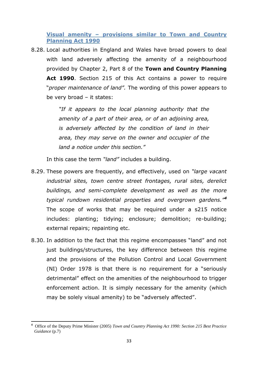**Visual amenity – provisions similar to Town and Country Planning Act 1990**

8.28. Local authorities in England and Wales have broad powers to deal with land adversely affecting the amenity of a neighbourhood provided by Chapter 2, Part 8 of the **Town and Country Planning Act 1990**. Section 215 of this Act contains a power to require "*proper maintenance of land".* The wording of this power appears to be very broad – it states:

> *"If it appears to the local planning authority that the amenity of a part of their area, or of an adjoining area, is adversely affected by the condition of land in their area, they may serve on the owner and occupier of the land a notice under this section."*

In this case the term *"land"* includes a building.

- 8.29. These powers are frequently, and effectively, used on *"large vacant industrial sites, town centre street frontages, rural sites, derelict buildings, and semi-complete development as well as the more typical rundown residential properties and overgrown gardens."<sup>4</sup>* The scope of works that may be required under a s215 notice includes: planting; tidying; enclosure; demolition; re-building; external repairs; repainting etc.
- 8.30. In addition to the fact that this regime encompasses "land" and not just buildings/structures, the key difference between this regime and the provisions of the Pollution Control and Local Government (NI) Order 1978 is that there is no requirement for a "seriously detrimental" effect on the amenities of the neighbourhood to trigger enforcement action. It is simply necessary for the amenity (which may be solely visual amenity) to be "adversely affected".

**<sup>.</sup> <sup>4</sup>** Office of the Deputy Prime Minister (2005) *Town and Country Planning Act 1990: Section 215 Best Practice Guidance* (p.7)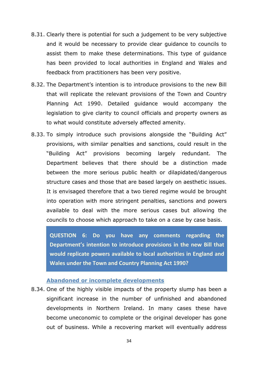- 8.31. Clearly there is potential for such a judgement to be very subjective and it would be necessary to provide clear guidance to councils to assist them to make these determinations. This type of guidance has been provided to local authorities in England and Wales and feedback from practitioners has been very positive.
- 8.32. The Department's intention is to introduce provisions to the new Bill that will replicate the relevant provisions of the Town and Country Planning Act 1990. Detailed guidance would accompany the legislation to give clarity to council officials and property owners as to what would constitute adversely affected amenity.
- 8.33. To simply introduce such provisions alongside the "Building Act" provisions, with similar penalties and sanctions, could result in the "Building Act" provisions becoming largely redundant. The Department believes that there should be a distinction made between the more serious public health or dilapidated/dangerous structure cases and those that are based largely on aesthetic issues. It is envisaged therefore that a two tiered regime would be brought into operation with more stringent penalties, sanctions and powers available to deal with the more serious cases but allowing the councils to choose which approach to take on a case by case basis.

**QUESTION 6: Do you have any comments regarding the Department's intention to introduce provisions in the new Bill that would replicate powers available to local authorities in England and Wales under the Town and Country Planning Act 1990?**

#### **Abandoned or incomplete developments**

8.34. One of the highly visible impacts of the property slump has been a significant increase in the number of unfinished and abandoned developments in Northern Ireland. In many cases these have become uneconomic to complete or the original developer has gone out of business. While a recovering market will eventually address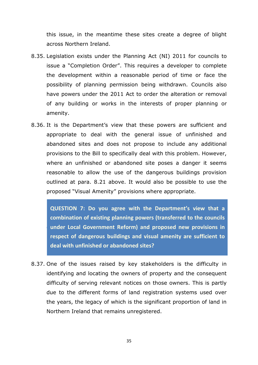this issue, in the meantime these sites create a degree of blight across Northern Ireland.

- 8.35. Legislation exists under the Planning Act (NI) 2011 for councils to issue a "Completion Order". This requires a developer to complete the development within a reasonable period of time or face the possibility of planning permission being withdrawn. Councils also have powers under the 2011 Act to order the alteration or removal of any building or works in the interests of proper planning or amenity.
- 8.36. It is the Department's view that these powers are sufficient and appropriate to deal with the general issue of unfinished and abandoned sites and does not propose to include any additional provisions to the Bill to specifically deal with this problem. However, where an unfinished or abandoned site poses a danger it seems reasonable to allow the use of the dangerous buildings provision outlined at para. 8.21 above. It would also be possible to use the proposed "Visual Amenity" provisions where appropriate.

**under Local Government Reform) and proposed new provisions in QUESTION 7: Do you agree with the Department's view that a combination of existing planning powers (transferred to the councils respect of dangerous buildings and visual amenity are sufficient to deal with unfinished or abandoned sites?**

8.37. One of the issues raised by key stakeholders is the difficulty in identifying and locating the owners of property and the consequent difficulty of serving relevant notices on those owners. This is partly due to the different forms of land registration systems used over the years, the legacy of which is the significant proportion of land in Northern Ireland that remains unregistered.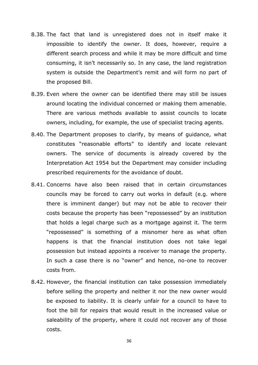- 8.38. The fact that land is unregistered does not in itself make it impossible to identify the owner. It does, however, require a different search process and while it may be more difficult and time consuming, it isn't necessarily so. In any case, the land registration system is outside the Department's remit and will form no part of the proposed Bill.
- 8.39. Even where the owner can be identified there may still be issues around locating the individual concerned or making them amenable. There are various methods available to assist councils to locate owners, including, for example, the use of specialist tracing agents.
- 8.40. The Department proposes to clarify, by means of guidance, what constitutes "reasonable efforts" to identify and locate relevant owners. The service of documents is already covered by the Interpretation Act 1954 but the Department may consider including prescribed requirements for the avoidance of doubt.
- 8.41. Concerns have also been raised that in certain circumstances councils may be forced to carry out works in default (e.g. where there is imminent danger) but may not be able to recover their costs because the property has been "repossessed" by an institution that holds a legal charge such as a mortgage against it. The term "repossessed" is something of a misnomer here as what often happens is that the financial institution does not take legal possession but instead appoints a receiver to manage the property. In such a case there is no "owner" and hence, no-one to recover costs from.
- 8.42. However, the financial institution can take possession immediately before selling the property and neither it nor the new owner would be exposed to liability. It is clearly unfair for a council to have to foot the bill for repairs that would result in the increased value or saleability of the property, where it could not recover any of those costs.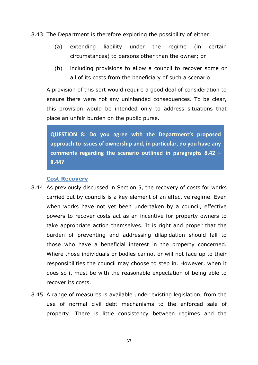8.43. The Department is therefore exploring the possibility of either:

- (a) extending liability under the regime (in certain circumstances) to persons other than the owner; or
- (b) including provisions to allow a council to recover some or all of its costs from the beneficiary of such a scenario.

A provision of this sort would require a good deal of consideration to ensure there were not any unintended consequences. To be clear, this provision would be intended only to address situations that place an unfair burden on the public purse.

**QUESTION 8: Do you agree with the Department's proposed approach to issues of ownership and, in particular, do you have any comments regarding the scenario outlined in paragraphs 8.42 – 8.44?**

#### **Cost Recovery**

- 8.44. As previously discussed in Section 5, the recovery of costs for works carried out by councils is a key element of an effective regime. Even when works have not yet been undertaken by a council, effective powers to recover costs act as an incentive for property owners to take appropriate action themselves. It is right and proper that the burden of preventing and addressing dilapidation should fall to those who have a beneficial interest in the property concerned. Where those individuals or bodies cannot or will not face up to their responsibilities the council may choose to step in. However, when it does so it must be with the reasonable expectation of being able to recover its costs.
- 8.45. A range of measures is available under existing legislation, from the use of normal civil debt mechanisms to the enforced sale of property. There is little consistency between regimes and the

37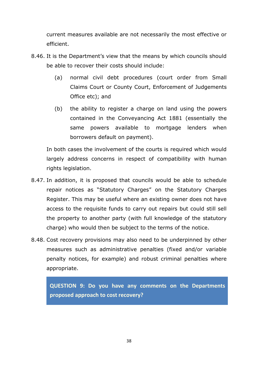current measures available are not necessarily the most effective or efficient.

- 8.46. It is the Department's view that the means by which councils should be able to recover their costs should include:
	- (a) normal civil debt procedures (court order from Small Claims Court or County Court, Enforcement of Judgements Office etc); and
	- (b) the ability to register a charge on land using the powers contained in the Conveyancing Act 1881 (essentially the same powers available to mortgage lenders when borrowers default on payment).

In both cases the involvement of the courts is required which would largely address concerns in respect of compatibility with human rights legislation.

- 8.47. In addition, it is proposed that councils would be able to schedule repair notices as "Statutory Charges" on the Statutory Charges Register. This may be useful where an existing owner does not have access to the requisite funds to carry out repairs but could still sell the property to another party (with full knowledge of the statutory charge) who would then be subject to the terms of the notice.
- 8.48. Cost recovery provisions may also need to be underpinned by other measures such as administrative penalties (fixed and/or variable penalty notices, for example) and robust criminal penalties where appropriate.

**QUESTION 9: Do you have any comments on the Departments proposed approach to cost recovery?**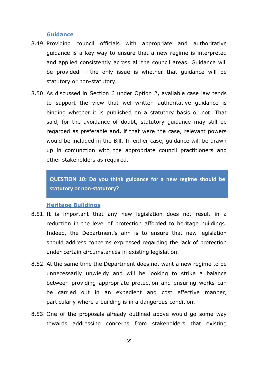#### **Guidance**

- 8.49. Providing council officials with appropriate and authoritative guidance is a key way to ensure that a new regime is interpreted and applied consistently across all the council areas. Guidance will be provided – the only issue is whether that guidance will be statutory or non-statutory.
- 8.50. As discussed in Section 6 under Option 2, available case law tends to support the view that well-written authoritative guidance is binding whether it is published on a statutory basis or not. That said, for the avoidance of doubt, statutory guidance may still be regarded as preferable and, if that were the case, relevant powers would be included in the Bill. In either case, guidance will be drawn up in conjunction with the appropriate council practitioners and other stakeholders as required.

**QUESTION 10: Do you think guidance for a new regime should be statutory or non-statutory?**

#### **Heritage Buildings**

- 8.51. It is important that any new legislation does not result in a reduction in the level of protection afforded to heritage buildings. Indeed, the Department's aim is to ensure that new legislation should address concerns expressed regarding the lack of protection under certain circumstances in existing legislation.
- 8.52. At the same time the Department does not want a new regime to be unnecessarily unwieldy and will be looking to strike a balance between providing appropriate protection and ensuring works can be carried out in an expedient and cost effective manner, particularly where a building is in a dangerous condition.
- 8.53. One of the proposals already outlined above would go some way towards addressing concerns from stakeholders that existing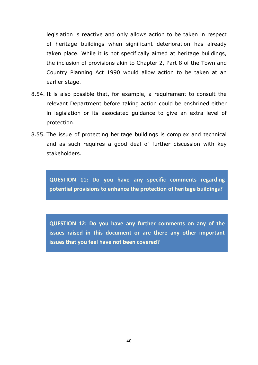legislation is reactive and only allows action to be taken in respect of heritage buildings when significant deterioration has already taken place. While it is not specifically aimed at heritage buildings, the inclusion of provisions akin to Chapter 2, Part 8 of the Town and Country Planning Act 1990 would allow action to be taken at an earlier stage.

- 8.54. It is also possible that, for example, a requirement to consult the relevant Department before taking action could be enshrined either in legislation or its associated guidance to give an extra level of protection.
- 8.55. The issue of protecting heritage buildings is complex and technical and as such requires a good deal of further discussion with key stakeholders.

**QUESTION 11: Do you have any specific comments regarding potential provisions to enhance the protection of heritage buildings?**

**QUESTION 12: Do you have any further comments on any of the issues raised in this document or are there any other important issues that you feel have not been covered?**